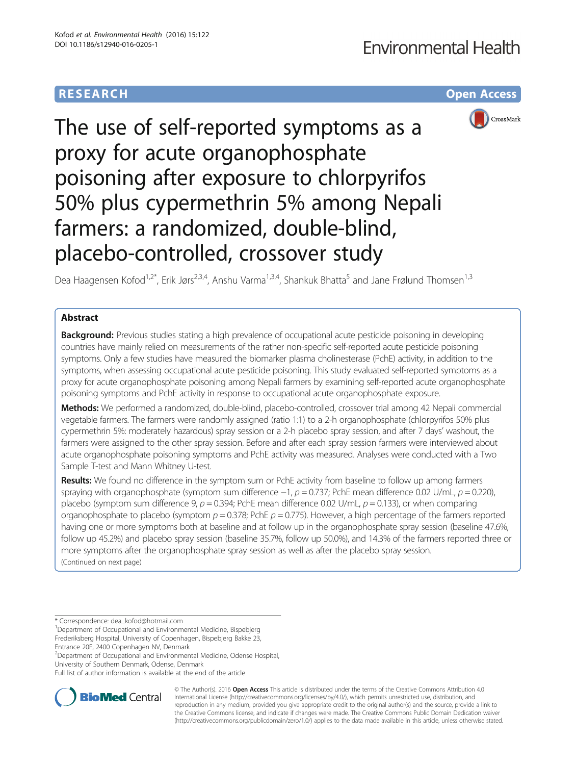# **RESEARCH CHE Open Access**



The use of self-reported symptoms as a proxy for acute organophosphate poisoning after exposure to chlorpyrifos 50% plus cypermethrin 5% among Nepali farmers: a randomized, double-blind, placebo-controlled, crossover study

Dea Haagensen Kofod<sup>1,2\*</sup>, Erik Jørs<sup>2,3,4</sup>, Anshu Varma<sup>1,3,4</sup>, Shankuk Bhatta<sup>5</sup> and Jane Frølund Thomsen<sup>1,3</sup>

# Abstract

**Background:** Previous studies stating a high prevalence of occupational acute pesticide poisoning in developing countries have mainly relied on measurements of the rather non-specific self-reported acute pesticide poisoning symptoms. Only a few studies have measured the biomarker plasma cholinesterase (PchE) activity, in addition to the symptoms, when assessing occupational acute pesticide poisoning. This study evaluated self-reported symptoms as a proxy for acute organophosphate poisoning among Nepali farmers by examining self-reported acute organophosphate poisoning symptoms and PchE activity in response to occupational acute organophosphate exposure.

Methods: We performed a randomized, double-blind, placebo-controlled, crossover trial among 42 Nepali commercial vegetable farmers. The farmers were randomly assigned (ratio 1:1) to a 2-h organophosphate (chlorpyrifos 50% plus cypermethrin 5%: moderately hazardous) spray session or a 2-h placebo spray session, and after 7 days' washout, the farmers were assigned to the other spray session. Before and after each spray session farmers were interviewed about acute organophosphate poisoning symptoms and PchE activity was measured. Analyses were conducted with a Two Sample T-test and Mann Whitney U-test.

Results: We found no difference in the symptom sum or PchE activity from baseline to follow up among farmers spraying with organophosphate (symptom sum difference  $-1$ ,  $p = 0.737$ ; PchE mean difference 0.02 U/mL,  $p = 0.220$ ), placebo (symptom sum difference 9,  $p = 0.394$ ; PchE mean difference 0.02 U/mL,  $p = 0.133$ ), or when comparing organophosphate to placebo (symptom  $p = 0.378$ ; PchE  $p = 0.775$ ). However, a high percentage of the farmers reported having one or more symptoms both at baseline and at follow up in the organophosphate spray session (baseline 47.6%, follow up 45.2%) and placebo spray session (baseline 35.7%, follow up 50.0%), and 14.3% of the farmers reported three or more symptoms after the organophosphate spray session as well as after the placebo spray session. (Continued on next page)

\* Correspondence: [dea\\_kofod@hotmail.com](mailto:dea_kofod@hotmail.com) <sup>1</sup>

<sup>1</sup>Department of Occupational and Environmental Medicine, Bispebjerg Frederiksberg Hospital, University of Copenhagen, Bispebjerg Bakke 23,

Entrance 20F, 2400 Copenhagen NV, Denmark

2 Department of Occupational and Environmental Medicine, Odense Hospital, University of Southern Denmark, Odense, Denmark

Full list of author information is available at the end of the article



© The Author(s). 2016 Open Access This article is distributed under the terms of the Creative Commons Attribution 4.0 International License [\(http://creativecommons.org/licenses/by/4.0/](http://creativecommons.org/licenses/by/4.0/)), which permits unrestricted use, distribution, and reproduction in any medium, provided you give appropriate credit to the original author(s) and the source, provide a link to the Creative Commons license, and indicate if changes were made. The Creative Commons Public Domain Dedication waiver [\(http://creativecommons.org/publicdomain/zero/1.0/](http://creativecommons.org/publicdomain/zero/1.0/)) applies to the data made available in this article, unless otherwise stated.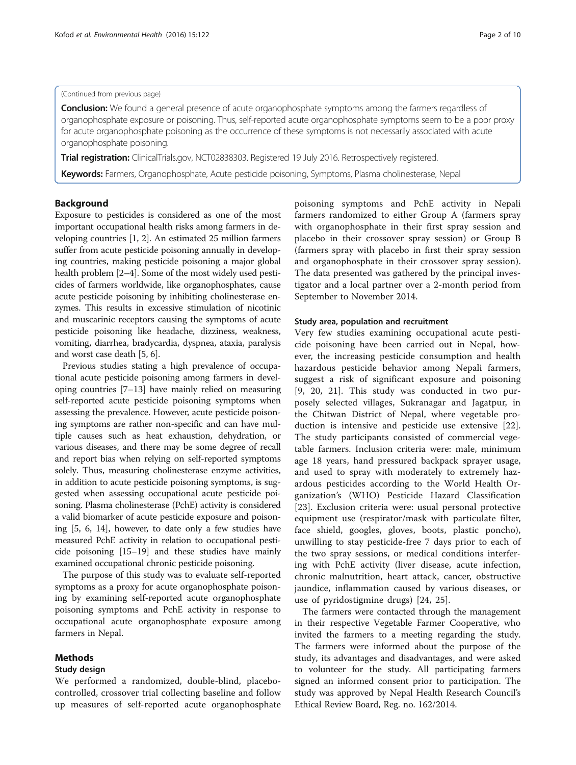# (Continued from previous page)

**Conclusion:** We found a general presence of acute organophosphate symptoms among the farmers regardless of organophosphate exposure or poisoning. Thus, self-reported acute organophosphate symptoms seem to be a poor proxy for acute organophosphate poisoning as the occurrence of these symptoms is not necessarily associated with acute organophosphate poisoning.

Trial registration: ClinicalTrials.gov, [NCT02838303.](https://clinicaltrials.gov/ct2/show/NCT02838303?term=NCT02838303&rank=1) Registered 19 July 2016. Retrospectively registered.

Keywords: Farmers, Organophosphate, Acute pesticide poisoning, Symptoms, Plasma cholinesterase, Nepal

# Background

Exposure to pesticides is considered as one of the most important occupational health risks among farmers in developing countries [[1](#page-9-0), [2](#page-9-0)]. An estimated 25 million farmers suffer from acute pesticide poisoning annually in developing countries, making pesticide poisoning a major global health problem [\[2](#page-9-0)–[4\]](#page-9-0). Some of the most widely used pesticides of farmers worldwide, like organophosphates, cause acute pesticide poisoning by inhibiting cholinesterase enzymes. This results in excessive stimulation of nicotinic and muscarinic receptors causing the symptoms of acute pesticide poisoning like headache, dizziness, weakness, vomiting, diarrhea, bradycardia, dyspnea, ataxia, paralysis and worst case death [\[5, 6](#page-9-0)].

Previous studies stating a high prevalence of occupational acute pesticide poisoning among farmers in developing countries [\[7](#page-9-0)–[13\]](#page-9-0) have mainly relied on measuring self-reported acute pesticide poisoning symptoms when assessing the prevalence. However, acute pesticide poisoning symptoms are rather non-specific and can have multiple causes such as heat exhaustion, dehydration, or various diseases, and there may be some degree of recall and report bias when relying on self-reported symptoms solely. Thus, measuring cholinesterase enzyme activities, in addition to acute pesticide poisoning symptoms, is suggested when assessing occupational acute pesticide poisoning. Plasma cholinesterase (PchE) activity is considered a valid biomarker of acute pesticide exposure and poisoning [[5](#page-9-0), [6, 14\]](#page-9-0), however, to date only a few studies have measured PchE activity in relation to occupational pesticide poisoning [\[15](#page-9-0)–[19](#page-9-0)] and these studies have mainly examined occupational chronic pesticide poisoning.

The purpose of this study was to evaluate self-reported symptoms as a proxy for acute organophosphate poisoning by examining self-reported acute organophosphate poisoning symptoms and PchE activity in response to occupational acute organophosphate exposure among farmers in Nepal.

# Methods

#### Study design

We performed a randomized, double-blind, placebocontrolled, crossover trial collecting baseline and follow up measures of self-reported acute organophosphate poisoning symptoms and PchE activity in Nepali farmers randomized to either Group A (farmers spray with organophosphate in their first spray session and placebo in their crossover spray session) or Group B (farmers spray with placebo in first their spray session and organophosphate in their crossover spray session). The data presented was gathered by the principal investigator and a local partner over a 2-month period from September to November 2014.

### Study area, population and recruitment

Very few studies examining occupational acute pesticide poisoning have been carried out in Nepal, however, the increasing pesticide consumption and health hazardous pesticide behavior among Nepali farmers, suggest a risk of significant exposure and poisoning [[9, 20](#page-9-0), [21\]](#page-9-0). This study was conducted in two purposely selected villages, Sukranagar and Jagatpur, in the Chitwan District of Nepal, where vegetable production is intensive and pesticide use extensive [\[22](#page-9-0)]. The study participants consisted of commercial vegetable farmers. Inclusion criteria were: male, minimum age 18 years, hand pressured backpack sprayer usage, and used to spray with moderately to extremely hazardous pesticides according to the World Health Organization's (WHO) Pesticide Hazard Classification [[23\]](#page-9-0). Exclusion criteria were: usual personal protective equipment use (respirator/mask with particulate filter, face shield, googles, gloves, boots, plastic poncho), unwilling to stay pesticide-free 7 days prior to each of the two spray sessions, or medical conditions interfering with PchE activity (liver disease, acute infection, chronic malnutrition, heart attack, cancer, obstructive jaundice, inflammation caused by various diseases, or use of pyridostigmine drugs) [\[24](#page-9-0), [25](#page-9-0)].

The farmers were contacted through the management in their respective Vegetable Farmer Cooperative, who invited the farmers to a meeting regarding the study. The farmers were informed about the purpose of the study, its advantages and disadvantages, and were asked to volunteer for the study. All participating farmers signed an informed consent prior to participation. The study was approved by Nepal Health Research Council's Ethical Review Board, Reg. no. 162/2014.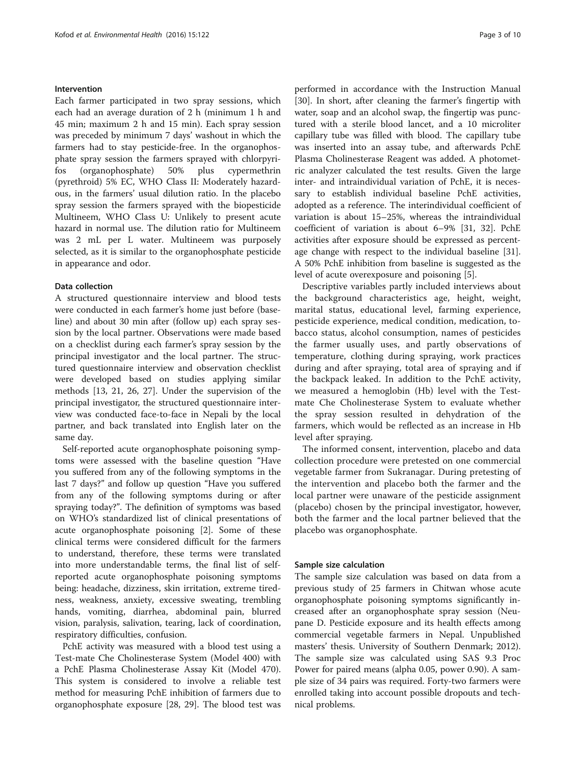# Intervention

Each farmer participated in two spray sessions, which each had an average duration of 2 h (minimum 1 h and 45 min; maximum 2 h and 15 min). Each spray session was preceded by minimum 7 days' washout in which the farmers had to stay pesticide-free. In the organophosphate spray session the farmers sprayed with chlorpyrifos (organophosphate) 50% plus cypermethrin (pyrethroid) 5% EC, WHO Class II: Moderately hazardous, in the farmers' usual dilution ratio. In the placebo spray session the farmers sprayed with the biopesticide Multineem, WHO Class U: Unlikely to present acute hazard in normal use. The dilution ratio for Multineem was 2 mL per L water. Multineem was purposely selected, as it is similar to the organophosphate pesticide in appearance and odor.

# Data collection

A structured questionnaire interview and blood tests were conducted in each farmer's home just before (baseline) and about 30 min after (follow up) each spray session by the local partner. Observations were made based on a checklist during each farmer's spray session by the principal investigator and the local partner. The structured questionnaire interview and observation checklist were developed based on studies applying similar methods [\[13](#page-9-0), [21](#page-9-0), [26, 27\]](#page-9-0). Under the supervision of the principal investigator, the structured questionnaire interview was conducted face-to-face in Nepali by the local partner, and back translated into English later on the same day.

Self-reported acute organophosphate poisoning symptoms were assessed with the baseline question "Have you suffered from any of the following symptoms in the last 7 days?" and follow up question "Have you suffered from any of the following symptoms during or after spraying today?". The definition of symptoms was based on WHO's standardized list of clinical presentations of acute organophosphate poisoning [\[2](#page-9-0)]. Some of these clinical terms were considered difficult for the farmers to understand, therefore, these terms were translated into more understandable terms, the final list of selfreported acute organophosphate poisoning symptoms being: headache, dizziness, skin irritation, extreme tiredness, weakness, anxiety, excessive sweating, trembling hands, vomiting, diarrhea, abdominal pain, blurred vision, paralysis, salivation, tearing, lack of coordination, respiratory difficulties, confusion.

PchE activity was measured with a blood test using a Test-mate Che Cholinesterase System (Model 400) with a PchE Plasma Cholinesterase Assay Kit (Model 470). This system is considered to involve a reliable test method for measuring PchE inhibition of farmers due to organophosphate exposure [[28, 29\]](#page-9-0). The blood test was

performed in accordance with the Instruction Manual [[30\]](#page-9-0). In short, after cleaning the farmer's fingertip with water, soap and an alcohol swap, the fingertip was punctured with a sterile blood lancet, and a 10 microliter capillary tube was filled with blood. The capillary tube was inserted into an assay tube, and afterwards PchE Plasma Cholinesterase Reagent was added. A photometric analyzer calculated the test results. Given the large inter- and intraindividual variation of PchE, it is necessary to establish individual baseline PchE activities, adopted as a reference. The interindividual coefficient of variation is about 15–25%, whereas the intraindividual coefficient of variation is about 6–9% [[31, 32](#page-9-0)]. PchE activities after exposure should be expressed as percentage change with respect to the individual baseline [\[31](#page-9-0)]. A 50% PchE inhibition from baseline is suggested as the level of acute overexposure and poisoning [\[5\]](#page-9-0).

Descriptive variables partly included interviews about the background characteristics age, height, weight, marital status, educational level, farming experience, pesticide experience, medical condition, medication, tobacco status, alcohol consumption, names of pesticides the farmer usually uses, and partly observations of temperature, clothing during spraying, work practices during and after spraying, total area of spraying and if the backpack leaked. In addition to the PchE activity, we measured a hemoglobin (Hb) level with the Testmate Che Cholinesterase System to evaluate whether the spray session resulted in dehydration of the farmers, which would be reflected as an increase in Hb level after spraying.

The informed consent, intervention, placebo and data collection procedure were pretested on one commercial vegetable farmer from Sukranagar. During pretesting of the intervention and placebo both the farmer and the local partner were unaware of the pesticide assignment (placebo) chosen by the principal investigator, however, both the farmer and the local partner believed that the placebo was organophosphate.

## Sample size calculation

The sample size calculation was based on data from a previous study of 25 farmers in Chitwan whose acute organophosphate poisoning symptoms significantly increased after an organophosphate spray session (Neupane D. Pesticide exposure and its health effects among commercial vegetable farmers in Nepal. Unpublished masters' thesis. University of Southern Denmark; 2012). The sample size was calculated using SAS 9.3 Proc Power for paired means (alpha 0.05, power 0.90). A sample size of 34 pairs was required. Forty-two farmers were enrolled taking into account possible dropouts and technical problems.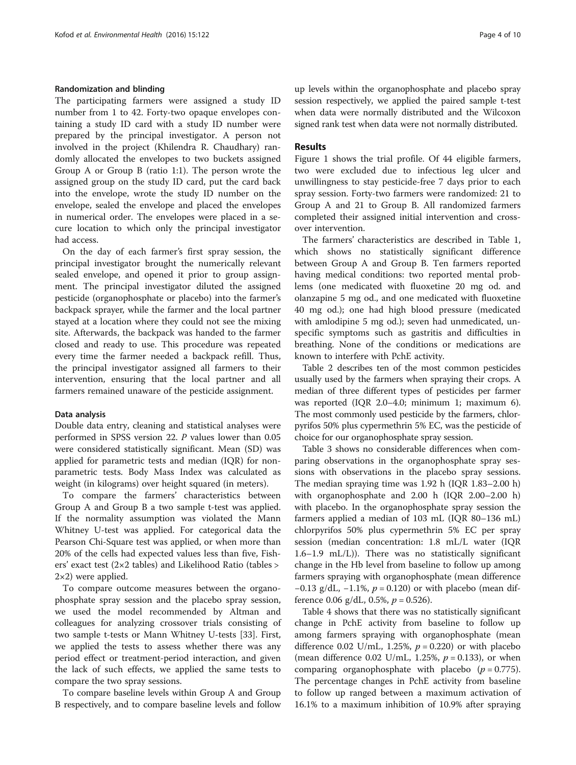# Randomization and blinding

The participating farmers were assigned a study ID number from 1 to 42. Forty-two opaque envelopes containing a study ID card with a study ID number were prepared by the principal investigator. A person not involved in the project (Khilendra R. Chaudhary) randomly allocated the envelopes to two buckets assigned Group A or Group B (ratio 1:1). The person wrote the assigned group on the study ID card, put the card back into the envelope, wrote the study ID number on the envelope, sealed the envelope and placed the envelopes in numerical order. The envelopes were placed in a secure location to which only the principal investigator had access.

On the day of each farmer's first spray session, the principal investigator brought the numerically relevant sealed envelope, and opened it prior to group assignment. The principal investigator diluted the assigned pesticide (organophosphate or placebo) into the farmer's backpack sprayer, while the farmer and the local partner stayed at a location where they could not see the mixing site. Afterwards, the backpack was handed to the farmer closed and ready to use. This procedure was repeated every time the farmer needed a backpack refill. Thus, the principal investigator assigned all farmers to their intervention, ensuring that the local partner and all farmers remained unaware of the pesticide assignment.

#### Data analysis

Double data entry, cleaning and statistical analyses were performed in SPSS version 22. P values lower than 0.05 were considered statistically significant. Mean (SD) was applied for parametric tests and median (IQR) for nonparametric tests. Body Mass Index was calculated as weight (in kilograms) over height squared (in meters).

To compare the farmers' characteristics between Group A and Group B a two sample t-test was applied. If the normality assumption was violated the Mann Whitney U-test was applied. For categorical data the Pearson Chi-Square test was applied, or when more than 20% of the cells had expected values less than five, Fishers' exact test (2×2 tables) and Likelihood Ratio (tables > 2×2) were applied.

To compare outcome measures between the organophosphate spray session and the placebo spray session, we used the model recommended by Altman and colleagues for analyzing crossover trials consisting of two sample t-tests or Mann Whitney U-tests [\[33](#page-9-0)]. First, we applied the tests to assess whether there was any period effect or treatment-period interaction, and given the lack of such effects, we applied the same tests to compare the two spray sessions.

To compare baseline levels within Group A and Group B respectively, and to compare baseline levels and follow up levels within the organophosphate and placebo spray session respectively, we applied the paired sample t-test when data were normally distributed and the Wilcoxon signed rank test when data were not normally distributed.

# Results

Figure [1](#page-4-0) shows the trial profile. Of 44 eligible farmers, two were excluded due to infectious leg ulcer and unwillingness to stay pesticide-free 7 days prior to each spray session. Forty-two farmers were randomized: 21 to Group A and 21 to Group B. All randomized farmers completed their assigned initial intervention and crossover intervention.

The farmers' characteristics are described in Table [1](#page-5-0), which shows no statistically significant difference between Group A and Group B. Ten farmers reported having medical conditions: two reported mental problems (one medicated with fluoxetine 20 mg od. and olanzapine 5 mg od., and one medicated with fluoxetine 40 mg od.); one had high blood pressure (medicated with amlodipine 5 mg od.); seven had unmedicated, unspecific symptoms such as gastritis and difficulties in breathing. None of the conditions or medications are known to interfere with PchE activity.

Table [2](#page-6-0) describes ten of the most common pesticides usually used by the farmers when spraying their crops. A median of three different types of pesticides per farmer was reported (IQR 2.0–4.0; minimum 1; maximum 6). The most commonly used pesticide by the farmers, chlorpyrifos 50% plus cypermethrin 5% EC, was the pesticide of choice for our organophosphate spray session.

Table [3](#page-6-0) shows no considerable differences when comparing observations in the organophosphate spray sessions with observations in the placebo spray sessions. The median spraying time was 1.92 h (IQR 1.83–2.00 h) with organophosphate and 2.00 h (IQR 2.00–2.00 h) with placebo. In the organophosphate spray session the farmers applied a median of 103 mL (IQR 80–136 mL) chlorpyrifos 50% plus cypermethrin 5% EC per spray session (median concentration: 1.8 mL/L water (IQR 1.6–1.9 mL/L)). There was no statistically significant change in the Hb level from baseline to follow up among farmers spraying with organophosphate (mean difference −0.13 g/dL, −1.1%,  $p = 0.120$ ) or with placebo (mean difference 0.06 g/dL, 0.5%,  $p = 0.526$ ).

Table [4](#page-7-0) shows that there was no statistically significant change in PchE activity from baseline to follow up among farmers spraying with organophosphate (mean difference 0.02 U/mL, 1.25%,  $p = 0.220$  or with placebo (mean difference 0.02 U/mL, 1.25%,  $p = 0.133$ ), or when comparing organophosphate with placebo  $(p = 0.775)$ . The percentage changes in PchE activity from baseline to follow up ranged between a maximum activation of 16.1% to a maximum inhibition of 10.9% after spraying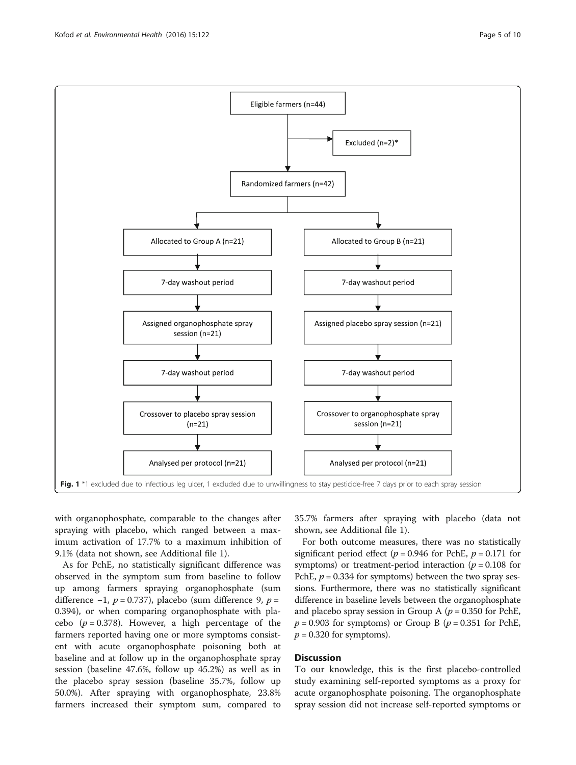<span id="page-4-0"></span>Kofod et al. Environmental Health (2016) 15:122 **Page 5 of 10** 



with organophosphate, comparable to the changes after spraying with placebo, which ranged between a maximum activation of 17.7% to a maximum inhibition of 9.1% (data not shown, see Additional file [1\)](#page-8-0).

As for PchE, no statistically significant difference was observed in the symptom sum from baseline to follow up among farmers spraying organophosphate (sum difference −1,  $p = 0.737$ ), placebo (sum difference 9,  $p =$ 0.394), or when comparing organophosphate with placebo ( $p = 0.378$ ). However, a high percentage of the farmers reported having one or more symptoms consistent with acute organophosphate poisoning both at baseline and at follow up in the organophosphate spray session (baseline 47.6%, follow up 45.2%) as well as in the placebo spray session (baseline 35.7%, follow up 50.0%). After spraying with organophosphate, 23.8% farmers increased their symptom sum, compared to 35.7% farmers after spraying with placebo (data not shown, see Additional file [1](#page-8-0)).

For both outcome measures, there was no statistically significant period effect ( $p = 0.946$  for PchE,  $p = 0.171$  for symptoms) or treatment-period interaction ( $p = 0.108$  for PchE,  $p = 0.334$  for symptoms) between the two spray sessions. Furthermore, there was no statistically significant difference in baseline levels between the organophosphate and placebo spray session in Group A ( $p = 0.350$  for PchE,  $p = 0.903$  for symptoms) or Group B ( $p = 0.351$  for PchE,  $p = 0.320$  for symptoms).

# **Discussion**

To our knowledge, this is the first placebo-controlled study examining self-reported symptoms as a proxy for acute organophosphate poisoning. The organophosphate spray session did not increase self-reported symptoms or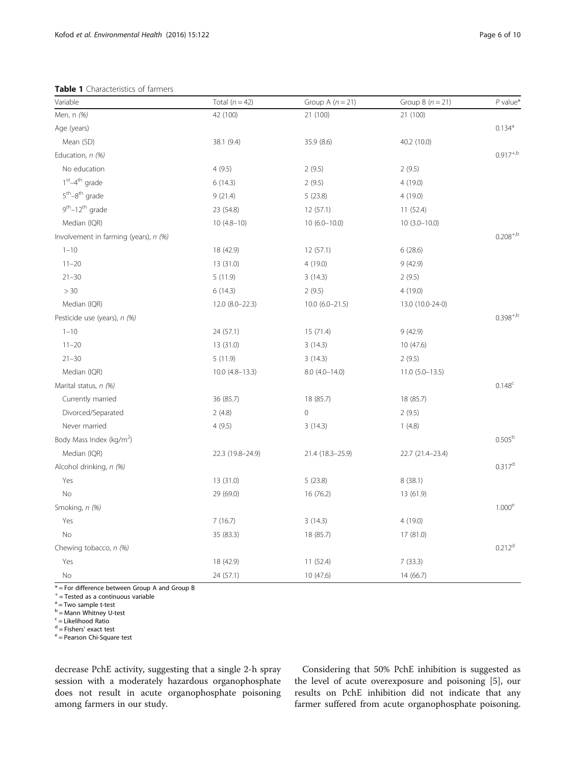<span id="page-5-0"></span>Table 1 Characteristics of farmers

| Variable                                | Total $(n = 42)$    | Group A $(n = 21)$   | Group B $(n = 21)$ | $P$ value*           |
|-----------------------------------------|---------------------|----------------------|--------------------|----------------------|
| Men, n (%)                              | 42 (100)            | 21 (100)             | 21 (100)           |                      |
| Age (years)                             |                     |                      |                    | $0.134$ <sup>a</sup> |
| Mean (SD)                               | 38.1 (9.4)          | 35.9 (8.6)           | 40.2 (10.0)        |                      |
| Education, n (%)                        |                     |                      |                    | $0.917^{+,b}$        |
| No education                            | 4(9.5)              | 2(9.5)               | 2(9.5)             |                      |
| $1st-4th$ grade                         | 6(14.3)             | 2(9.5)               | 4 (19.0)           |                      |
| $5th-8th$ grade                         | 9(21.4)             | 5(23.8)              | 4 (19.0)           |                      |
| 9 <sup>th</sup> -12 <sup>th</sup> grade | 23 (54.8)           | 12(57.1)             | 11(52.4)           |                      |
| Median (IQR)                            | $10(4.8-10)$        | $10(6.0 - 10.0)$     | $10(3.0 - 10.0)$   |                      |
| Involvement in farming (years), n (%)   |                     |                      |                    | $0.208^{+,b}$        |
| $1 - 10$                                | 18 (42.9)           | 12(57.1)             | 6(28.6)            |                      |
| $11 - 20$                               | 13 (31.0)           | 4(19.0)              | 9(42.9)            |                      |
| $21 - 30$                               | 5(11.9)             | 3(14.3)              | 2(9.5)             |                      |
| > 30                                    | 6(14.3)             | 2(9.5)               | 4(19.0)            |                      |
| Median (IQR)                            | 12.0 (8.0-22.3)     | $10.0 (6.0 - 21.5)$  | 13.0 (10.0-24-0)   |                      |
| Pesticide use (years), n (%)            |                     |                      |                    | $0.398^{+,b}$        |
| $1 - 10$                                | 24 (57.1)           | 15 (71.4)            | 9(42.9)            |                      |
| $11 - 20$                               | 13 (31.0)           | 3(14.3)              | 10(47.6)           |                      |
| $21 - 30$                               | 5(11.9)             | 3(14.3)              | 2(9.5)             |                      |
| Median (IQR)                            | $10.0$ $(4.8-13.3)$ | $8.0$ $(4.0 - 14.0)$ | $11.0$ (5.0-13.5)  |                      |
| Marital status, n (%)                   |                     |                      |                    | $0.148^{c}$          |
| Currently married                       | 36 (85.7)           | 18 (85.7)            | 18 (85.7)          |                      |
| Divorced/Separated                      | 2(4.8)              | $\mathsf{O}\xspace$  | 2(9.5)             |                      |
| Never married                           | 4(9.5)              | 3(14.3)              | 1(4.8)             |                      |
| Body Mass Index (kg/m <sup>2</sup> )    |                     |                      |                    | $0.505^{\rm b}$      |
| Median (IQR)                            | 22.3 (19.8-24.9)    | 21.4 (18.3-25.9)     | 22.7 (21.4-23.4)   |                      |
| Alcohol drinking, n (%)                 |                     |                      |                    | 0.317 <sup>d</sup>   |
| Yes                                     | 13 (31.0)           | 5(23.8)              | 8(38.1)            |                      |
| No                                      | 29 (69.0)           | 16 (76.2)            | 13 (61.9)          |                      |
| Smoking, n (%)                          |                     |                      |                    | 1.000 <sup>e</sup>   |
| Yes                                     | 7(16.7)             | 3(14.3)              | 4 (19.0)           |                      |
| No                                      | 35 (83.3)           | 18 (85.7)            | 17 (81.0)          |                      |
| Chewing tobacco, n (%)                  |                     |                      |                    | 0.212 <sup>d</sup>   |
| Yes                                     | 18 (42.9)           | 11(52.4)             | 7(33.3)            |                      |
| No                                      | 24 (57.1)           | 10 (47.6)            | 14 (66.7)          |                      |

 $* =$  For difference between Group A and Group B

 $<sup>+</sup>$  = Tested as a continuous variable</sup>

 $a = Two$  sample t-test  $<sup>b</sup>$  = Mann Whitney U-test</sup>

 $c =$  Likelihood Ratio<br> $d =$  Fishers' exact test

 $e$  = Pearson Chi-Square test

decrease PchE activity, suggesting that a single 2-h spray session with a moderately hazardous organophosphate does not result in acute organophosphate poisoning among farmers in our study.

Considering that 50% PchE inhibition is suggested as the level of acute overexposure and poisoning [[5\]](#page-9-0), our results on PchE inhibition did not indicate that any farmer suffered from acute organophosphate poisoning.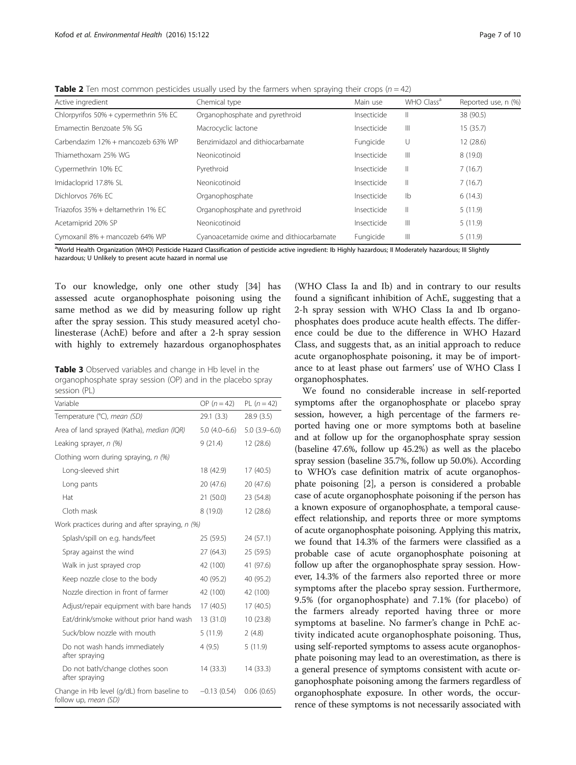<span id="page-6-0"></span>**Table 2** Ten most common pesticides usually used by the farmers when spraying their crops  $(n = 42)$ 

| Active ingredient                     | Chemical type                            | Main use    | WHO Class <sup>a</sup> | Reported use, n (%) |
|---------------------------------------|------------------------------------------|-------------|------------------------|---------------------|
| Chlorpyrifos 50% + cypermethrin 5% EC | Organophosphate and pyrethroid           | Insecticide | $\mathbb{I}$           | 38 (90.5)           |
| Emamectin Benzoate 5% SG              | Macrocyclic lactone                      | Insecticide | Ш                      | 15(35.7)            |
| Carbendazim 12% + mancozeb 63% WP     | Benzimidazol and dithiocarbamate         | Fungicide   | U                      | 12(28.6)            |
| Thiamethoxam 25% WG                   | Neonicotinoid                            | Insecticide | Ш                      | 8(19.0)             |
| Cypermethrin 10% EC                   | Pyrethroid                               | Insecticide | $\mathbb{I}$           | 7(16.7)             |
| Imidacloprid 17.8% SL                 | Neonicotinoid                            | Insecticide | $\mathbb{I}$           | 7(16.7)             |
| Dichlorvos 76% FC                     | Organophosphate                          | Insecticide | I <sub>b</sub>         | 6(14.3)             |
| Triazofos 35% + deltamethrin 1% EC    | Organophosphate and pyrethroid           | Insecticide | $\mathsf{I}$           | 5(11.9)             |
| Acetamiprid 20% SP                    | Neonicotinoid                            | Insecticide | Ш                      | 5(11.9)             |
| Cymoxanil 8% + mancozeb 64% WP        | Cyanoacetamide oxime and dithiocarbamate | Fungicide   | Ш                      | 5(11.9)             |

a<br>World Health Organization (WHO) Pesticide Hazard Classification of pesticide active ingredient: Ib Highly hazardous; II Moderately hazardous; III Slightly hazardous; U Unlikely to present acute hazard in normal use

To our knowledge, only one other study [[34\]](#page-9-0) has assessed acute organophosphate poisoning using the same method as we did by measuring follow up right after the spray session. This study measured acetyl cholinesterase (AchE) before and after a 2-h spray session with highly to extremely hazardous organophosphates

Table 3 Observed variables and change in Hb level in the organophosphate spray session (OP) and in the placebo spray session (PL)

| Variable                                                           | OP $(n = 42)$  | $PL (n = 42)$  |
|--------------------------------------------------------------------|----------------|----------------|
| Temperature (°C), mean (SD)                                        | 29.1(3.3)      | 28.9(3.5)      |
| Area of land sprayed (Katha), median (IQR)                         | $5.0(4.0-6.6)$ | $5.0(3.9-6.0)$ |
| Leaking sprayer, n (%)                                             | 9(21.4)        | 12(28.6)       |
| Clothing worn during spraying, n (%)                               |                |                |
| Long-sleeved shirt                                                 | 18 (42.9)      | 17(40.5)       |
| Long pants                                                         | 20(47.6)       | 20 (47.6)      |
| Hat                                                                | 21 (50.0)      | 23 (54.8)      |
| Cloth mask                                                         | 8 (19.0)       | 12 (28.6)      |
| Work practices during and after spraying, n (%)                    |                |                |
| Splash/spill on e.g. hands/feet                                    | 25 (59.5)      | 24 (57.1)      |
| Spray against the wind                                             | 27(64.3)       | 25 (59.5)      |
| Walk in just sprayed crop                                          | 42 (100)       | 41 (97.6)      |
| Keep nozzle close to the body                                      | 40 (95.2)      | 40 (95.2)      |
| Nozzle direction in front of farmer                                | 42 (100)       | 42 (100)       |
| Adjust/repair equipment with bare hands                            | 17 (40.5)      | 17(40.5)       |
| Eat/drink/smoke without prior hand wash                            | 13 (31.0)      | 10(23.8)       |
| Suck/blow nozzle with mouth                                        | 5(11.9)        | 2(4.8)         |
| Do not wash hands immediately<br>after spraying                    | 4(9.5)         | 5(11.9)        |
| Do not bath/change clothes soon<br>after spraying                  | 14 (33.3)      | 14(33.3)       |
| Change in Hb level (g/dL) from baseline to<br>follow up, mean (SD) | $-0.13(0.54)$  | 0.06(0.65)     |

(WHO Class Ia and Ib) and in contrary to our results found a significant inhibition of AchE, suggesting that a 2-h spray session with WHO Class Ia and Ib organophosphates does produce acute health effects. The difference could be due to the difference in WHO Hazard Class, and suggests that, as an initial approach to reduce acute organophosphate poisoning, it may be of importance to at least phase out farmers' use of WHO Class I organophosphates.

We found no considerable increase in self-reported symptoms after the organophosphate or placebo spray session, however, a high percentage of the farmers reported having one or more symptoms both at baseline and at follow up for the organophosphate spray session (baseline 47.6%, follow up 45.2%) as well as the placebo spray session (baseline 35.7%, follow up 50.0%). According to WHO's case definition matrix of acute organophosphate poisoning [[2\]](#page-9-0), a person is considered a probable case of acute organophosphate poisoning if the person has a known exposure of organophosphate, a temporal causeeffect relationship, and reports three or more symptoms of acute organophosphate poisoning. Applying this matrix, we found that 14.3% of the farmers were classified as a probable case of acute organophosphate poisoning at follow up after the organophosphate spray session. However, 14.3% of the farmers also reported three or more symptoms after the placebo spray session. Furthermore, 9.5% (for organophosphate) and 7.1% (for placebo) of the farmers already reported having three or more symptoms at baseline. No farmer's change in PchE activity indicated acute organophosphate poisoning. Thus, using self-reported symptoms to assess acute organophosphate poisoning may lead to an overestimation, as there is a general presence of symptoms consistent with acute organophosphate poisoning among the farmers regardless of organophosphate exposure. In other words, the occurrence of these symptoms is not necessarily associated with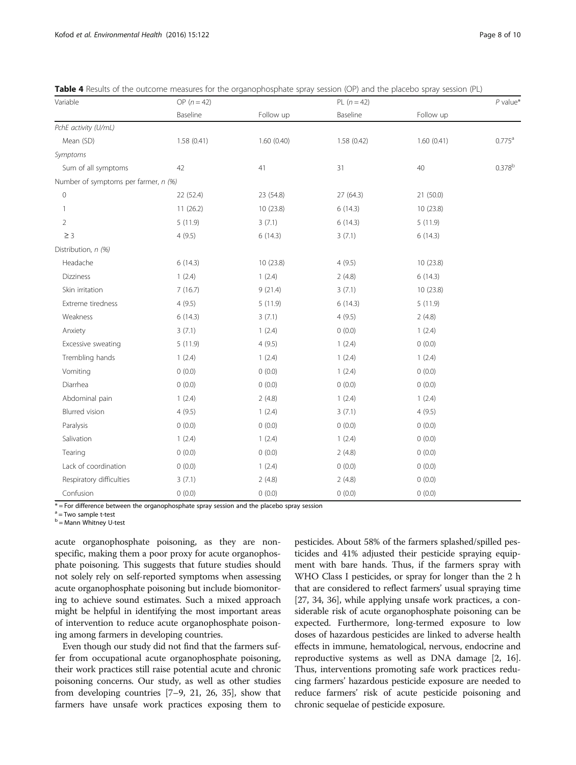| Variable                             | OP $(n = 42)$ |            | PL $(n = 42)$ |            | $P$ value*         |
|--------------------------------------|---------------|------------|---------------|------------|--------------------|
|                                      | Baseline      | Follow up  | Baseline      | Follow up  |                    |
| PchE activity (U/mL)                 |               |            |               |            |                    |
| Mean (SD)                            | 1.58(0.41)    | 1.60(0.40) | 1.58(0.42)    | 1.60(0.41) | $0.775^{\text{a}}$ |
| Symptoms                             |               |            |               |            |                    |
| Sum of all symptoms                  | 42            | 41         | 31            | 40         | $0.378^{b}$        |
| Number of symptoms per farmer, n (%) |               |            |               |            |                    |
| $\mathbf 0$                          | 22 (52.4)     | 23 (54.8)  | 27 (64.3)     | 21 (50.0)  |                    |
| 1                                    | 11(26.2)      | 10 (23.8)  | 6(14.3)       | 10(23.8)   |                    |
| 2                                    | 5(11.9)       | 3(7.1)     | 6(14.3)       | 5(11.9)    |                    |
| $\geq$ 3                             | 4(9.5)        | 6(14.3)    | 3(7.1)        | 6(14.3)    |                    |
| Distribution, n (%)                  |               |            |               |            |                    |
| Headache                             | 6(14.3)       | 10 (23.8)  | 4(9.5)        | 10 (23.8)  |                    |
| Dizziness                            | 1(2.4)        | 1(2.4)     | 2(4.8)        | 6(14.3)    |                    |
| Skin irritation                      | 7(16.7)       | 9(21.4)    | 3(7.1)        | 10 (23.8)  |                    |
| Extreme tiredness                    | 4(9.5)        | 5(11.9)    | 6(14.3)       | 5(11.9)    |                    |
| Weakness                             | 6(14.3)       | 3(7.1)     | 4(9.5)        | 2(4.8)     |                    |
| Anxiety                              | 3(7.1)        | 1(2.4)     | 0(0.0)        | 1(2.4)     |                    |
| Excessive sweating                   | 5(11.9)       | 4(9.5)     | 1(2.4)        | 0(0.0)     |                    |
| Trembling hands                      | 1(2.4)        | 1(2.4)     | 1(2.4)        | 1(2.4)     |                    |
| Vomiting                             | 0(0.0)        | 0(0.0)     | 1(2.4)        | 0(0.0)     |                    |
| Diarrhea                             | 0(0.0)        | 0(0.0)     | 0(0.0)        | 0(0.0)     |                    |
| Abdominal pain                       | 1(2.4)        | 2(4.8)     | 1(2.4)        | 1(2.4)     |                    |
| <b>Blurred</b> vision                | 4(9.5)        | 1(2.4)     | 3(7.1)        | 4(9.5)     |                    |
| Paralysis                            | 0(0.0)        | 0(0.0)     | 0(0.0)        | 0(0.0)     |                    |
| Salivation                           | 1(2.4)        | 1(2.4)     | 1(2.4)        | 0(0.0)     |                    |
| Tearing                              | 0(0.0)        | 0(0.0)     | 2(4.8)        | 0(0.0)     |                    |
| Lack of coordination                 | 0(0.0)        | 1(2.4)     | 0(0.0)        | 0(0.0)     |                    |
| Respiratory difficulties             | 3(7.1)        | 2(4.8)     | 2(4.8)        | 0(0.0)     |                    |

<span id="page-7-0"></span>Table 4 Results of the outcome measures for the organophosphate spray session (OP) and the placebo spray session (PL)

 $* =$  For difference between the organophosphate spray session and the placebo spray session

Confusion 0 (0.0) 0 (0.0) 0 (0.0) 0 (0.0) 0 (0.0) 0 (0.0)

<sup>a</sup> = Two sample t-test

 $b =$  Mann Whitney U-test

acute organophosphate poisoning, as they are nonspecific, making them a poor proxy for acute organophosphate poisoning. This suggests that future studies should not solely rely on self-reported symptoms when assessing acute organophosphate poisoning but include biomonitoring to achieve sound estimates. Such a mixed approach might be helpful in identifying the most important areas of intervention to reduce acute organophosphate poisoning among farmers in developing countries.

Even though our study did not find that the farmers suffer from occupational acute organophosphate poisoning, their work practices still raise potential acute and chronic poisoning concerns. Our study, as well as other studies from developing countries [\[7](#page-9-0)–[9, 21](#page-9-0), [26, 35](#page-9-0)], show that farmers have unsafe work practices exposing them to pesticides. About 58% of the farmers splashed/spilled pesticides and 41% adjusted their pesticide spraying equipment with bare hands. Thus, if the farmers spray with WHO Class I pesticides, or spray for longer than the 2 h that are considered to reflect farmers' usual spraying time [[27](#page-9-0), [34, 36\]](#page-9-0), while applying unsafe work practices, a considerable risk of acute organophosphate poisoning can be expected. Furthermore, long-termed exposure to low doses of hazardous pesticides are linked to adverse health effects in immune, hematological, nervous, endocrine and reproductive systems as well as DNA damage [\[2](#page-9-0), [16](#page-9-0)]. Thus, interventions promoting safe work practices reducing farmers' hazardous pesticide exposure are needed to reduce farmers' risk of acute pesticide poisoning and chronic sequelae of pesticide exposure.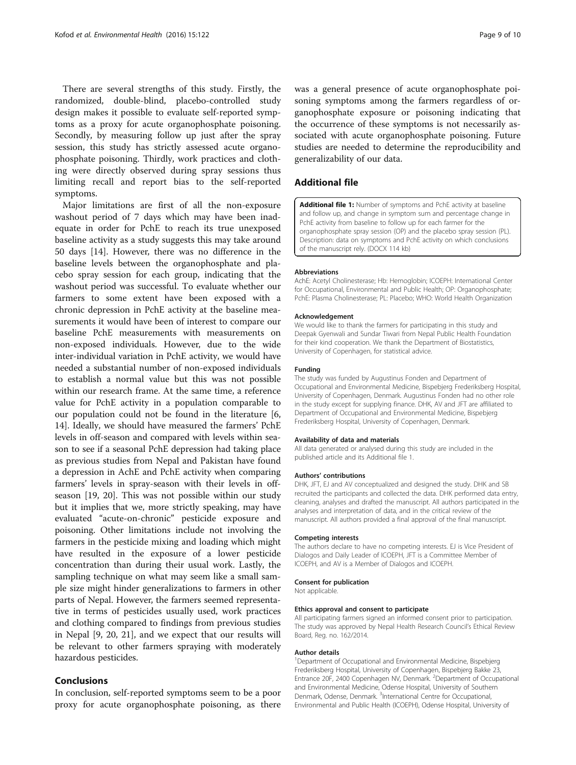<span id="page-8-0"></span>There are several strengths of this study. Firstly, the randomized, double-blind, placebo-controlled study design makes it possible to evaluate self-reported symptoms as a proxy for acute organophosphate poisoning. Secondly, by measuring follow up just after the spray session, this study has strictly assessed acute organophosphate poisoning. Thirdly, work practices and clothing were directly observed during spray sessions thus limiting recall and report bias to the self-reported symptoms.

Major limitations are first of all the non-exposure washout period of 7 days which may have been inadequate in order for PchE to reach its true unexposed baseline activity as a study suggests this may take around 50 days [[14\]](#page-9-0). However, there was no difference in the baseline levels between the organophosphate and placebo spray session for each group, indicating that the washout period was successful. To evaluate whether our farmers to some extent have been exposed with a chronic depression in PchE activity at the baseline measurements it would have been of interest to compare our baseline PchE measurements with measurements on non-exposed individuals. However, due to the wide inter-individual variation in PchE activity, we would have needed a substantial number of non-exposed individuals to establish a normal value but this was not possible within our research frame. At the same time, a reference value for PchE activity in a population comparable to our population could not be found in the literature [\[6](#page-9-0), [14\]](#page-9-0). Ideally, we should have measured the farmers' PchE levels in off-season and compared with levels within season to see if a seasonal PchE depression had taking place as previous studies from Nepal and Pakistan have found a depression in AchE and PchE activity when comparing farmers' levels in spray-season with their levels in offseason [[19, 20\]](#page-9-0). This was not possible within our study but it implies that we, more strictly speaking, may have evaluated "acute-on-chronic" pesticide exposure and poisoning. Other limitations include not involving the farmers in the pesticide mixing and loading which might have resulted in the exposure of a lower pesticide concentration than during their usual work. Lastly, the sampling technique on what may seem like a small sample size might hinder generalizations to farmers in other parts of Nepal. However, the farmers seemed representative in terms of pesticides usually used, work practices and clothing compared to findings from previous studies in Nepal [\[9](#page-9-0), [20, 21](#page-9-0)], and we expect that our results will be relevant to other farmers spraying with moderately hazardous pesticides.

# Conclusions

In conclusion, self-reported symptoms seem to be a poor proxy for acute organophosphate poisoning, as there was a general presence of acute organophosphate poisoning symptoms among the farmers regardless of organophosphate exposure or poisoning indicating that the occurrence of these symptoms is not necessarily associated with acute organophosphate poisoning. Future studies are needed to determine the reproducibility and generalizability of our data.

# Additional file

[Additional file 1:](dx.doi.org/10.1186/s12940-016-0205-1) Number of symptoms and PchE activity at baseline and follow up, and change in symptom sum and percentage change in PchE activity from baseline to follow up for each farmer for the organophosphate spray session (OP) and the placebo spray session (PL). Description: data on symptoms and PchE activity on which conclusions of the manuscript rely. (DOCX 114 kb)

#### Abbreviations

AchE: Acetyl Cholinesterase; Hb: Hemoglobin; ICOEPH: International Center for Occupational, Environmental and Public Health; OP: Organophosphate; PchE: Plasma Cholinesterase; PL: Placebo; WHO: World Health Organization

#### Acknowledgement

We would like to thank the farmers for participating in this study and Deepak Gyenwali and Sundar Tiwari from Nepal Public Health Foundation for their kind cooperation. We thank the Department of Biostatistics, University of Copenhagen, for statistical advice.

#### Funding

The study was funded by Augustinus Fonden and Department of Occupational and Environmental Medicine, Bispebjerg Frederiksberg Hospital, University of Copenhagen, Denmark. Augustinus Fonden had no other role in the study except for supplying finance. DHK, AV and JFT are affiliated to Department of Occupational and Environmental Medicine, Bispebjerg Frederiksberg Hospital, University of Copenhagen, Denmark.

#### Availability of data and materials

All data generated or analysed during this study are included in the published article and its Additional file 1.

#### Authors' contributions

DHK, JFT, EJ and AV conceptualized and designed the study. DHK and SB recruited the participants and collected the data. DHK performed data entry, cleaning, analyses and drafted the manuscript. All authors participated in the analyses and interpretation of data, and in the critical review of the manuscript. All authors provided a final approval of the final manuscript.

#### Competing interests

The authors declare to have no competing interests. EJ is Vice President of Dialogos and Daily Leader of ICOEPH, JFT is a Committee Member of ICOEPH, and AV is a Member of Dialogos and ICOEPH.

#### Consent for publication

Not applicable.

#### Ethics approval and consent to participate

All participating farmers signed an informed consent prior to participation. The study was approved by Nepal Health Research Council's Ethical Review Board, Reg. no. 162/2014.

### Author details

<sup>1</sup>Department of Occupational and Environmental Medicine, Bispebjerg Frederiksberg Hospital, University of Copenhagen, Bispebjerg Bakke 23, Entrance 20F, 2400 Copenhagen NV, Denmark. <sup>2</sup> Department of Occupational and Environmental Medicine, Odense Hospital, University of Southern Denmark, Odense, Denmark. <sup>3</sup>International Centre for Occupational, Environmental and Public Health (ICOEPH), Odense Hospital, University of